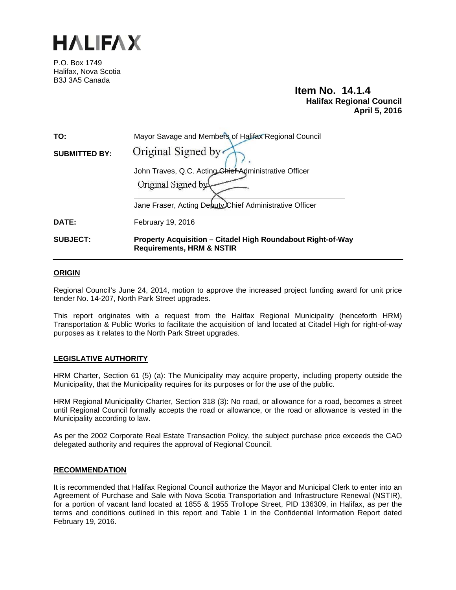

P.O. Box 1749 Halifax, Nova Scotia B3J 3A5 Canada

# **Item No. 14.1.4 Halifax Regional Council April 5, 2016**

| TO:                  | Mayor Savage and Members of Halifax Regional Council                                                       |
|----------------------|------------------------------------------------------------------------------------------------------------|
| <b>SUBMITTED BY:</b> | Original Signed by                                                                                         |
|                      | John Traves, Q.C. Acting Chief Administrative Officer                                                      |
|                      | Original Signed by                                                                                         |
|                      | Jane Fraser, Acting Deputy Chief Administrative Officer                                                    |
| DATE:                | February 19, 2016                                                                                          |
| <b>SUBJECT:</b>      | <b>Property Acquisition - Citadel High Roundabout Right-of-Way</b><br><b>Requirements, HRM &amp; NSTIR</b> |

## **ORIGIN**

Regional Council's June 24, 2014, motion to approve the increased project funding award for unit price tender No. 14-207, North Park Street upgrades.

This report originates with a request from the Halifax Regional Municipality (henceforth HRM) Transportation & Public Works to facilitate the acquisition of land located at Citadel High for right-of-way purposes as it relates to the North Park Street upgrades.

# **LEGISLATIVE AUTHORITY**

HRM Charter, Section 61 (5) (a): The Municipality may acquire property, including property outside the Municipality, that the Municipality requires for its purposes or for the use of the public.

HRM Regional Municipality Charter, Section 318 (3): No road, or allowance for a road, becomes a street until Regional Council formally accepts the road or allowance, or the road or allowance is vested in the Municipality according to law.

As per the 2002 Corporate Real Estate Transaction Policy, the subject purchase price exceeds the CAO delegated authority and requires the approval of Regional Council.

#### **RECOMMENDATION**

It is recommended that Halifax Regional Council authorize the Mayor and Municipal Clerk to enter into an Agreement of Purchase and Sale with Nova Scotia Transportation and Infrastructure Renewal (NSTIR), for a portion of vacant land located at 1855 & 1955 Trollope Street, PID 136309, in Halifax, as per the terms and conditions outlined in this report and Table 1 in the Confidential Information Report dated February 19, 2016.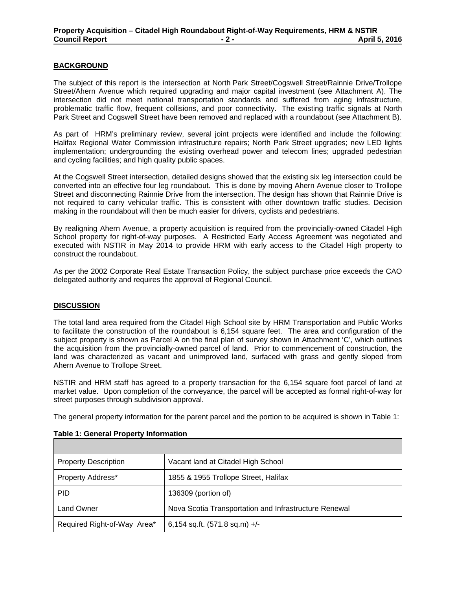# **BACKGROUND**

The subject of this report is the intersection at North Park Street/Cogswell Street/Rainnie Drive/Trollope Street/Ahern Avenue which required upgrading and major capital investment (see Attachment A). The intersection did not meet national transportation standards and suffered from aging infrastructure, problematic traffic flow, frequent collisions, and poor connectivity. The existing traffic signals at North Park Street and Cogswell Street have been removed and replaced with a roundabout (see Attachment B).

As part of HRM's preliminary review, several joint projects were identified and include the following: Halifax Regional Water Commission infrastructure repairs; North Park Street upgrades; new LED lights implementation; undergrounding the existing overhead power and telecom lines; upgraded pedestrian and cycling facilities; and high quality public spaces.

At the Cogswell Street intersection, detailed designs showed that the existing six leg intersection could be converted into an effective four leg roundabout. This is done by moving Ahern Avenue closer to Trollope Street and disconnecting Rainnie Drive from the intersection. The design has shown that Rainnie Drive is not required to carry vehicular traffic. This is consistent with other downtown traffic studies. Decision making in the roundabout will then be much easier for drivers, cyclists and pedestrians.

By realigning Ahern Avenue, a property acquisition is required from the provincially-owned Citadel High School property for right-of-way purposes. A Restricted Early Access Agreement was negotiated and executed with NSTIR in May 2014 to provide HRM with early access to the Citadel High property to construct the roundabout.

As per the 2002 Corporate Real Estate Transaction Policy, the subject purchase price exceeds the CAO delegated authority and requires the approval of Regional Council.

#### **DISCUSSION**

The total land area required from the Citadel High School site by HRM Transportation and Public Works to facilitate the construction of the roundabout is 6,154 square feet. The area and configuration of the subject property is shown as Parcel A on the final plan of survey shown in Attachment 'C', which outlines the acquisition from the provincially-owned parcel of land. Prior to commencement of construction, the land was characterized as vacant and unimproved land, surfaced with grass and gently sloped from Ahern Avenue to Trollope Street.

NSTIR and HRM staff has agreed to a property transaction for the 6,154 square foot parcel of land at market value. Upon completion of the conveyance, the parcel will be accepted as formal right-of-way for street purposes through subdivision approval.

The general property information for the parent parcel and the portion to be acquired is shown in Table 1:

| <b>Property Description</b> | Vacant land at Citadel High School                    |
|-----------------------------|-------------------------------------------------------|
| Property Address*           | 1855 & 1955 Trollope Street, Halifax                  |
| <b>PID</b>                  | 136309 (portion of)                                   |
| <b>Land Owner</b>           | Nova Scotia Transportation and Infrastructure Renewal |
| Required Right-of-Way Area* | 6,154 sq.ft. $(571.8$ sq.m) $+/-$                     |

# **Table 1: General Property Information**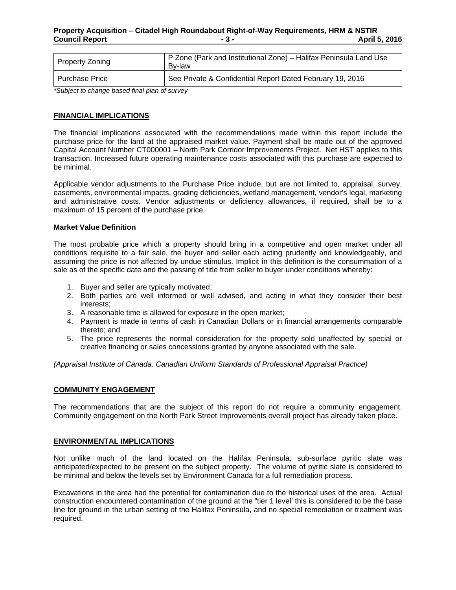| <b>Property Zoning</b> | P Zone (Park and Institutional Zone) – Halifax Peninsula Land Use<br>Bv-law |
|------------------------|-----------------------------------------------------------------------------|
| <b>Purchase Price</b>  | See Private & Confidential Report Dated February 19, 2016                   |

*\*Subject to change based final plan of survey* 

#### **FINANCIAL IMPLICATIONS**

The financial implications associated with the recommendations made within this report include the purchase price for the land at the appraised market value. Payment shall be made out of the approved Capital Account Number CT000001 – North Park Corridor Improvements Project. Net HST applies to this transaction. Increased future operating maintenance costs associated with this purchase are expected to be minimal.

Applicable vendor adjustments to the Purchase Price include, but are not limited to, appraisal, survey, easements, environmental impacts, grading deficiencies, wetland management, vendor's legal, marketing and administrative costs. Vendor adjustments or deficiency allowances, if required, shall be to a maximum of 15 percent of the purchase price.

#### **Market Value Definition**

The most probable price which a property should bring in a competitive and open market under all conditions requisite to a fair sale, the buyer and seller each acting prudently and knowledgeably, and assuming the price is not affected by undue stimulus. Implicit in this definition is the consummation of a sale as of the specific date and the passing of title from seller to buyer under conditions whereby:

- 1. Buyer and seller are typically motivated;
- 2. Both parties are well informed or well advised, and acting in what they consider their best interests;
- 3. A reasonable time is allowed for exposure in the open market;
- 4. Payment is made in terms of cash in Canadian Dollars or in financial arrangements comparable thereto; and
- 5. The price represents the normal consideration for the property sold unaffected by special or creative financing or sales concessions granted by anyone associated with the sale.

*(Appraisal Institute of Canada. Canadian Uniform Standards of Professional Appraisal Practice)* 

#### **COMMUNITY ENGAGEMENT**

The recommendations that are the subject of this report do not require a community engagement. Community engagement on the North Park Street Improvements overall project has already taken place.

#### **ENVIRONMENTAL IMPLICATIONS**

Not unlike much of the land located on the Halifax Peninsula, sub-surface pyritic slate was anticipated/expected to be present on the subject property. The volume of pyritic slate is considered to be minimal and below the levels set by Environment Canada for a full remediation process.

Excavations in the area had the potential for contamination due to the historical uses of the area. Actual construction encountered contamination of the ground at the "tier 1 level' this is considered to be the base line for ground in the urban setting of the Halifax Peninsula, and no special remediation or treatment was required.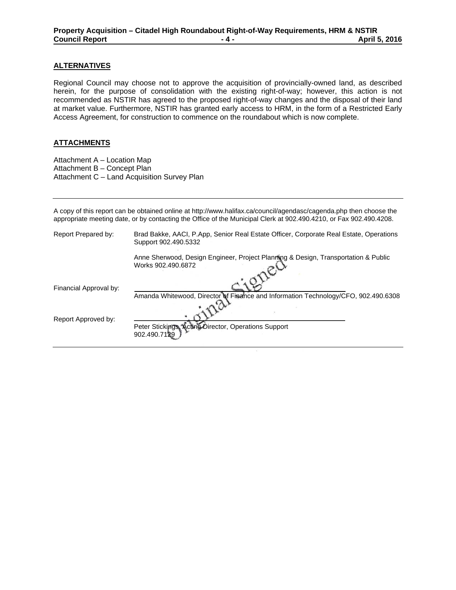# **ALTERNATIVES**

Regional Council may choose not to approve the acquisition of provincially-owned land, as described herein, for the purpose of consolidation with the existing right-of-way; however, this action is not recommended as NSTIR has agreed to the proposed right-of-way changes and the disposal of their land at market value. Furthermore, NSTIR has granted early access to HRM, in the form of a Restricted Early Access Agreement, for construction to commence on the roundabout which is now complete.

### **ATTACHMENTS**

Attachment A – Location Map Attachment B – Concept Plan Attachment C – Land Acquisition Survey Plan

A copy of this report can be obtained online at http://www.halifax.ca/council/agendasc/cagenda.php then choose the appropriate meeting date, or by contacting the Office of the Municipal Clerk at 902.490.4210, or Fax 902.490.4208.

| Report Prepared by:    | Brad Bakke, AACI, P.App, Senior Real Estate Officer, Corporate Real Estate, Operations<br>Support 902.490.5332 |
|------------------------|----------------------------------------------------------------------------------------------------------------|
|                        | Anne Sherwood, Design Engineer, Project Planning & Design, Transportation & Public<br>Works 902.490.6872       |
| Financial Approval by: | Amanda Whitewood, Director of Finance and Information Technology/CFO, 902.490.6308                             |
|                        |                                                                                                                |
| Report Approved by:    | Peter Stickings, Acting Director, Operations Support<br>902.490.7129                                           |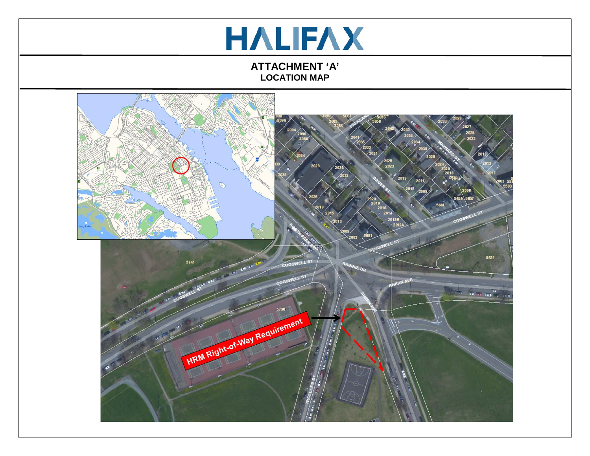# **HALIFAX**

**ATTACHMENT 'A' LOCATION MAP**

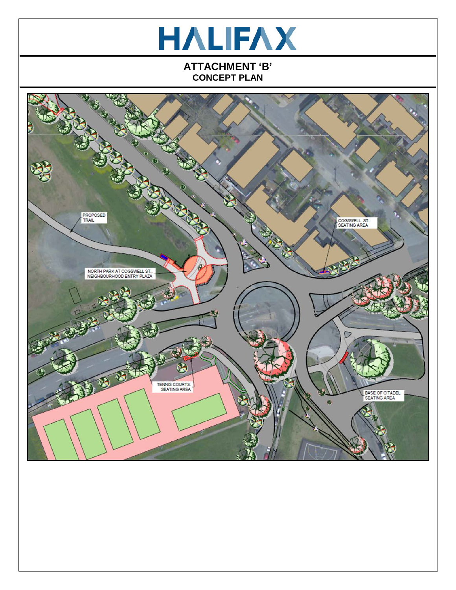

# **ATTACHMENT 'B' CONCEPT PLAN**